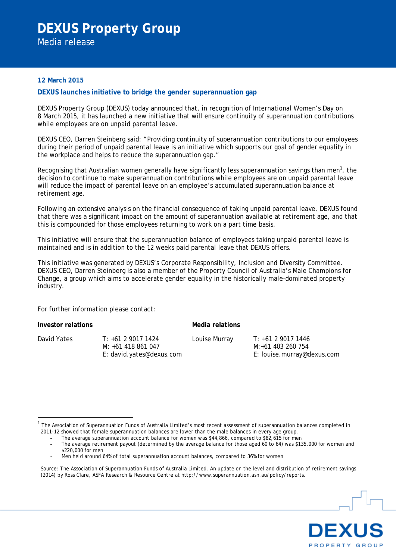## **12 March 2015**

## **DEXUS launches initiative to bridge the gender superannuation gap**

DEXUS Property Group (DEXUS) today announced that, in recognition of International Women's Day on 8 March 2015, it has launched a new initiative that will ensure continuity of superannuation contributions while employees are on unpaid parental leave.

DEXUS CEO, Darren Steinberg said: "Providing continuity of superannuation contributions to our employees during their period of unpaid parental leave is an initiative which supports our goal of gender equality in the workplace and helps to reduce the superannuation gap."

Recognising that Australian women generally have significantly less superannuation savings than men<sup>[1](#page-0-0)</sup>, the decision to continue to make superannuation contributions while employees are on unpaid parental leave will reduce the impact of parental leave on an employee's accumulated superannuation balance at retirement age.

Following an extensive analysis on the financial consequence of taking unpaid parental leave, DEXUS found that there was a significant impact on the amount of superannuation available at retirement age, and that this is compounded for those employees returning to work on a part time basis.

This initiative will ensure that the superannuation balance of employees taking unpaid parental leave is maintained and is in addition to the 12 weeks paid parental leave that DEXUS offers.

This initiative was generated by DEXUS's Corporate Responsibility, Inclusion and Diversity Committee. DEXUS CEO, Darren Steinberg is also a member of the Property Council of Australia's Male Champions for Change, a group which aims to accelerate gender equality in the historically male-dominated property industry.

For further information please contact:

**Investor relations Media relations** 

David Yates T: +61 2 9017 1424 M: +61 418 861 047 E: david.yates@dexus.com

Louise Murray T: +61 2 9017 1446 M:+61 403 260 754 E: louise.murray@dexus.com



<span id="page-0-0"></span><sup>1</sup> The Association of Superannuation Funds of Australia Limited's most recent assessment of superannuation balances completed in 2011-12 showed that female superannuation balances are lower than the male balances in every age group.

The average superannuation account balance for women was \$44,866, compared to \$82,615 for men

The average retirement payout (determined by the average balance for those aged 60 to 64) was \$135,000 for women and \$220,000 for men

Men held around 64% of total superannuation account balances, compared to 36% for women

Source: The Association of Superannuation Funds of Australia Limited, An update on the level and distribution of retirement savings (2014) by Ross Clare, ASFA Research & Resource Centre at http://www.superannuation.asn.au/policy/reports.